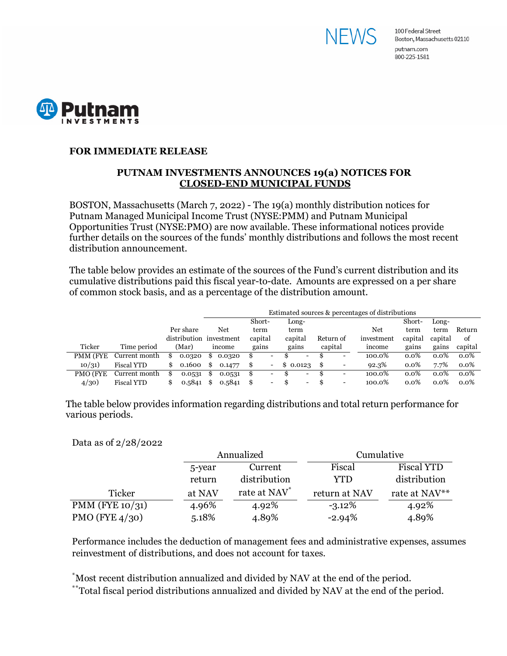



## **FOR IMMEDIATE RELEASE**

## **PUTNAM INVESTMENTS ANNOUNCES 19(a) NOTICES FOR CLOSED-END MUNICIPAL FUNDS**

BOSTON, Massachusetts (March 7, 2022) - The 19(a) monthly distribution notices for Putnam Managed Municipal Income Trust (NYSE:PMM) and Putnam Municipal Opportunities Trust (NYSE:PMO) are now available. These informational notices provide further details on the sources of the funds' monthly distributions and follows the most recent distribution announcement.

The table below provides an estimate of the sources of the Fund's current distribution and its cumulative distributions paid this fiscal year-to-date. Amounts are expressed on a per share of common stock basis, and as a percentage of the distribution amount.

|          |                   |    |                         | Estimated sources & percentages of distributions |        |         |                          |         |                          |      |                          |            |         |         |         |
|----------|-------------------|----|-------------------------|--------------------------------------------------|--------|---------|--------------------------|---------|--------------------------|------|--------------------------|------------|---------|---------|---------|
|          |                   |    |                         |                                                  |        | Short-  |                          |         | Long-                    |      |                          |            | Short-  | Long-   |         |
|          |                   |    | Per share               |                                                  | Net    | term    |                          | term    |                          |      |                          | Net        | term    | term    | Return  |
|          |                   |    | distribution investment |                                                  |        | capital |                          | capital |                          |      | Return of                | investment | capital | capital | of      |
| Ticker   | Time period       |    | (Mar)                   |                                                  | income | gains   |                          | gains   |                          |      | capital                  | income     | gains   | gains   | capital |
| PMM (FYE | Current month     | £. | 0.0320                  | S                                                | 0.0320 | S       | $\overline{\phantom{a}}$ |         | $\overline{\phantom{0}}$ |      | $\overline{\phantom{a}}$ | 100.0%     | $0.0\%$ | $0.0\%$ | $0.0\%$ |
| 10/31)   | <b>Fiscal YTD</b> |    | 0.1600                  | \$                                               | 0.1477 | \$      | -                        |         | \$0.0123                 | - \$ | -                        | 92.3%      | $0.0\%$ | 7.7%    | $0.0\%$ |
| PMO (FYE | Current month     | S  | 0.0531                  | S                                                | 0.0531 | S       | $\overline{\phantom{0}}$ |         | $\overline{\phantom{0}}$ |      | -                        | 100.0%     | $0.0\%$ | $0.0\%$ | $0.0\%$ |
| 4/30)    | <b>Fiscal YTD</b> |    | 0.5841                  |                                                  | 0.5841 | \$      | -                        | - \$    | $\overline{\phantom{a}}$ | -S   | $\overline{\phantom{0}}$ | 100.0%     | 0.0%    | $0.0\%$ | $0.0\%$ |

The table below provides information regarding distributions and total return performance for various periods.

## Data as of 2/28/2022

|                    |        | Annualized               | Cumulative    |                   |  |  |
|--------------------|--------|--------------------------|---------------|-------------------|--|--|
|                    | 5-year | Current                  | Fiscal        | <b>Fiscal YTD</b> |  |  |
|                    | return | distribution             | <b>YTD</b>    | distribution      |  |  |
| <b>Ticker</b>      | at NAV | rate at NAV <sup>*</sup> | return at NAV | rate at NAV**     |  |  |
| PMM (FYE $10/31$ ) | 4.96%  | 4.92%                    | $-3.12\%$     | 4.92%             |  |  |
| PMO (FYE $4/30$ )  | 5.18%  | 4.89%                    | $-2.94%$      | 4.89%             |  |  |

Performance includes the deduction of management fees and administrative expenses, assumes reinvestment of distributions, and does not account for taxes.

\* Most recent distribution annualized and divided by NAV at the end of the period.

\*\*Total fiscal period distributions annualized and divided by NAV at the end of the period.